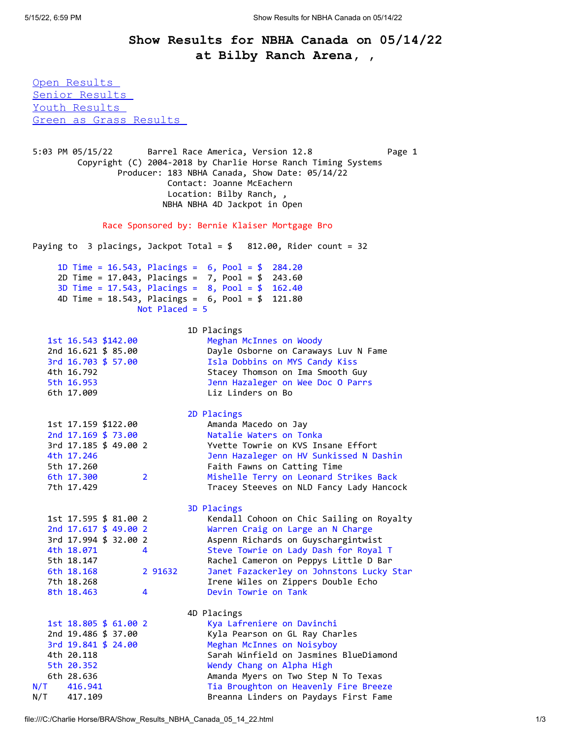## **Show Results for NBHA Canada on 05/14/22 at Bilby Ranch Arena, ,**

<span id="page-0-0"></span>[Open Results](#page-0-0)  [Senior Results](#page-1-0)  Youth Results [Green as Grass Results](#page-1-2) 

5:03 PM 05/15/22 Barrel Race America, Version 12.8 Page 1 Copyright (C) 2004-2018 by Charlie Horse Ranch Timing Systems Producer: 183 NBHA Canada, Show Date: 05/14/22 Contact: Joanne McEachern Location: Bilby Ranch, , NBHA NBHA 4D Jackpot in Open Race Sponsored by: Bernie Klaiser Mortgage Bro Paying to  $3$  placings, Jackpot Total = \$ 812.00, Rider count = 32 1D Time = 16.543, Placings = 6, Pool = \$ 284.20 2D Time = 17.043, Placings = 7, Pool = \$ 243.60 3D Time = 17.543, Placings = 8, Pool = \$ 162.40 4D Time = 18.543, Placings = 6, Pool = \$ 121.80 Not Placed = 5 1D Placings 1st 16.543 \$142.00 Meghan McInnes on Woody 2nd 16.621 \$ 85.00 Dayle Osborne on Caraways Luv N Fame 3rd 16.703 \$ 57.00 Isla Dobbins on MYS Candy Kiss 4th 16.792 Stacey Thomson on Ima Smooth Guy 5th 16.953 Jenn Hazaleger on Wee Doc O Parrs 6th 17.009 Liz Linders on Bo 2D Placings 1st 17.159 \$122.00 Amanda Macedo on Jay 2nd 17.169 \$ 73.00 Natalie Waters on Tonka 3rd 17.185 \$ 49.00 2 Yvette Towrie on KVS Insane Effort 4th 17.246 Jenn Hazaleger on HV Sunkissed N Dashin 5th 17.260 Faith Fawns on Catting Time 6th 17.300 2 Mishelle Terry on Leonard Strikes Back 7th 17.429 Tracey Steeves on NLD Fancy Lady Hancock 3D Placings 1st 17.595 \$ 81.00 2 Kendall Cohoon on Chic Sailing on Royalty 2nd 17.617 \$ 49.00 2 Warren Craig on Large an N Charge 3rd 17.994 \$ 32.00 2 Aspenn Richards on Guyschargintwist 4th 18.071 4 Steve Towrie on Lady Dash for Royal T 5th 18.147 Rachel Cameron on Peppys Little D Bar 6th 18.168 2 91632 Janet Fazackerley on Johnstons Lucky Star 7th 18.268 Irene Wiles on Zippers Double Echo 8th 18.463 4 Devin Towrie on Tank 4D Placings 1st 18.805 \$ 61.00 2 Kya Lafreniere on Davinchi 2nd 19.486 \$ 37.00 Kyla Pearson on GL Ray Charles 3rd 19.841 \$ 24.00 Meghan McInnes on Noisyboy 4th 20.118 Sarah Winfield on Jasmines BlueDiamond 5th 20.352 Wendy Chang on Alpha High 6th 28.636 Amanda Myers on Two Step N To Texas N/T 416.941 Tia Broughton on Heavenly Fire Breeze N/T 417.109 Breanna Linders on Paydays First Fame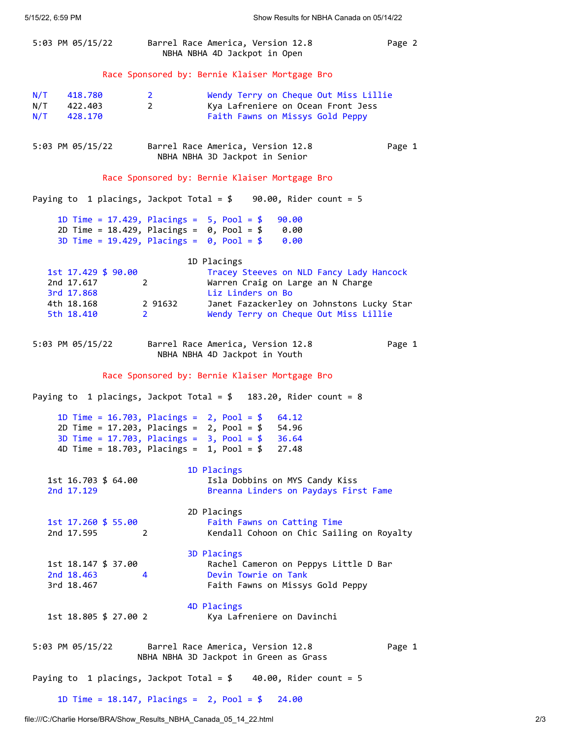<span id="page-1-2"></span><span id="page-1-1"></span><span id="page-1-0"></span>

|                                                                                                    |                                | 5:03 PM 05/15/22 Barrel Race America, Version 12.8<br>NBHA NBHA 4D Jackpot in Open                                  | Page 2 |  |  |
|----------------------------------------------------------------------------------------------------|--------------------------------|---------------------------------------------------------------------------------------------------------------------|--------|--|--|
| Race Sponsored by: Bernie Klaiser Mortgage Bro                                                     |                                |                                                                                                                     |        |  |  |
| N/T<br>418.780<br>$N/T$ 422.403<br>N/T 428.170                                                     | 2 <sup>1</sup><br>$\mathbf{2}$ | Wendy Terry on Cheque Out Miss Lillie<br>Kya Lafreniere on Ocean Front Jess<br>Faith Fawns on Missys Gold Peppy     |        |  |  |
| 5:03 PM 05/15/22                                                                                   |                                | Barrel Race America, Version 12.8<br>NBHA NBHA 3D Jackpot in Senior                                                 | Page 1 |  |  |
| Race Sponsored by: Bernie Klaiser Mortgage Bro                                                     |                                |                                                                                                                     |        |  |  |
|                                                                                                    |                                | Paying to 1 placings, Jackpot Total = $$90.00$ , Rider count = 5                                                    |        |  |  |
| 1D Time = $17.429$ , Placings = $5$ , Pool = \$                                                    |                                | 90.00<br>2D Time = $18.429$ , Placings = $0$ , Pool = \$ 0.00<br>3D Time = $19.429$ , Placings = $0, Pool = $ 0.00$ |        |  |  |
|                                                                                                    |                                | 1D Placings                                                                                                         |        |  |  |
| 1st 17.429 \$ 90.00<br>2nd 17.617<br>$\overline{2}$<br>3rd 17.868                                  |                                | Tracey Steeves on NLD Fancy Lady Hancock<br>Warren Craig on Large an N Charge<br>Liz Linders on Bo                  |        |  |  |
| 4th 18.168 2 91632<br>5th 18.410 2                                                                 |                                | Janet Fazackerley on Johnstons Lucky Star<br>Wendy Terry on Cheque Out Miss Lillie                                  |        |  |  |
| 5:03 PM 05/15/22                                                                                   |                                | Barrel Race America, Version 12.8<br>NBHA NBHA 4D Jackpot in Youth                                                  | Page 1 |  |  |
| Race Sponsored by: Bernie Klaiser Mortgage Bro                                                     |                                |                                                                                                                     |        |  |  |
|                                                                                                    |                                |                                                                                                                     |        |  |  |
|                                                                                                    |                                | Paying to 1 placings, Jackpot Total = $$$ 183.20, Rider count = 8                                                   |        |  |  |
|                                                                                                    |                                | 1D Time = $16.703$ , Placings = $2$ , Pool = \$ 64.12                                                               |        |  |  |
|                                                                                                    |                                | 2D Time = $17.203$ , Placings = $2$ , Pool = \$ 54.96                                                               |        |  |  |
| 3D Time = $17.703$ , Placings = $3$ , Pool = \$<br>4D Time = $18.703$ , Placings = $1$ , Pool = \$ |                                | 36.64<br>27.48                                                                                                      |        |  |  |
|                                                                                                    |                                |                                                                                                                     |        |  |  |
| 1st 16.703 \$ 64.00                                                                                |                                | 1D Placings<br>Isla Dobbins on MYS Candy Kiss                                                                       |        |  |  |
| 2nd 17.129                                                                                         |                                | Breanna Linders on Paydays First Fame                                                                               |        |  |  |
|                                                                                                    |                                | 2D Placings                                                                                                         |        |  |  |
| 1st 17.260 \$ 55.00                                                                                | 2                              | Faith Fawns on Catting Time                                                                                         |        |  |  |
| 2nd 17.595                                                                                         |                                | Kendall Cohoon on Chic Sailing on Royalty                                                                           |        |  |  |
| 1st 18.147 \$ 37.00                                                                                |                                | 3D Placings                                                                                                         |        |  |  |
| 2nd 18.463                                                                                         | 4                              | Rachel Cameron on Peppys Little D Bar<br>Devin Towrie on Tank                                                       |        |  |  |
| 3rd 18.467                                                                                         |                                | Faith Fawns on Missys Gold Peppy                                                                                    |        |  |  |
| 1st 18.805 \$ 27.00 2                                                                              |                                | 4D Placings<br>Kya Lafreniere on Davinchi                                                                           |        |  |  |
| 5:03 PM 05/15/22                                                                                   |                                | Barrel Race America, Version 12.8<br>NBHA NBHA 3D Jackpot in Green as Grass                                         | Page 1 |  |  |
|                                                                                                    |                                | Paying to 1 placings, Jackpot Total = $$$ 40.00, Rider count = 5                                                    |        |  |  |